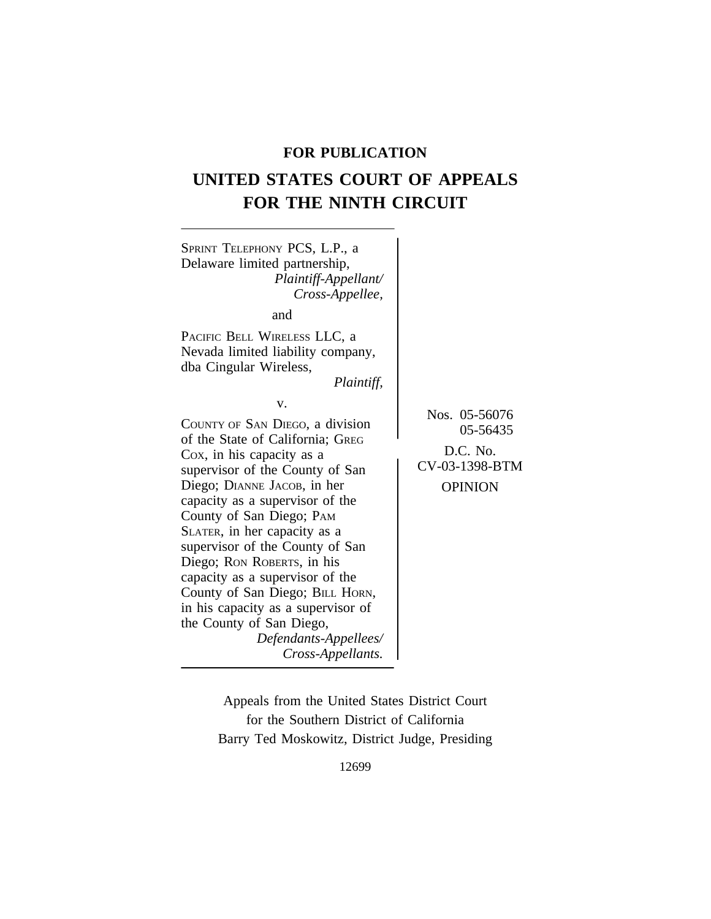# **FOR PUBLICATION**

# **UNITED STATES COURT OF APPEALS FOR THE NINTH CIRCUIT**



Appeals from the United States District Court for the Southern District of California Barry Ted Moskowitz, District Judge, Presiding

12699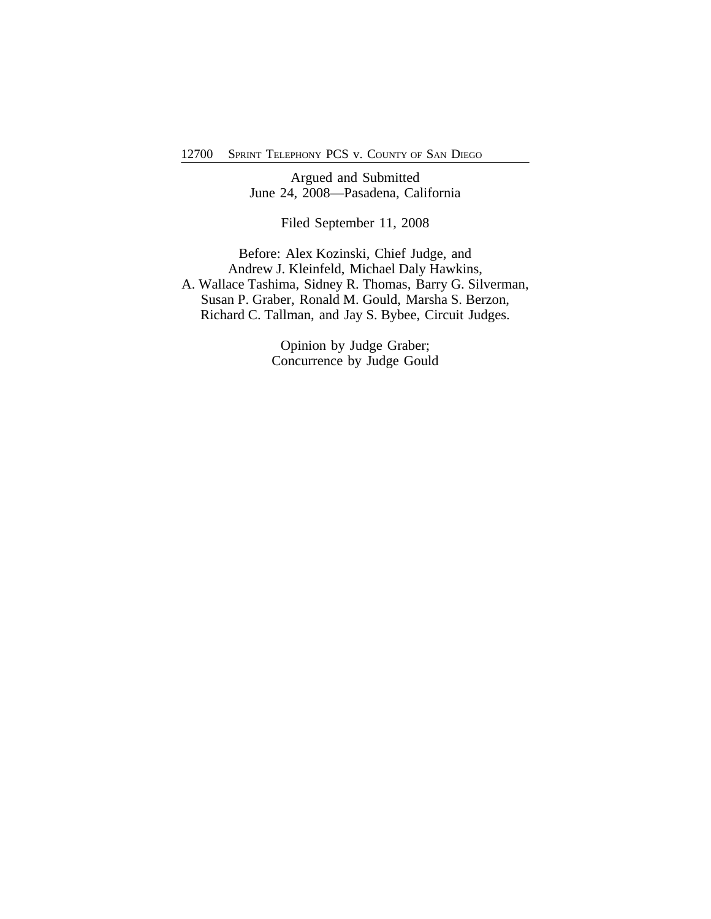Argued and Submitted June 24, 2008—Pasadena, California

Filed September 11, 2008

Before: Alex Kozinski, Chief Judge, and Andrew J. Kleinfeld, Michael Daly Hawkins, A. Wallace Tashima, Sidney R. Thomas, Barry G. Silverman, Susan P. Graber, Ronald M. Gould, Marsha S. Berzon, Richard C. Tallman, and Jay S. Bybee, Circuit Judges.

> Opinion by Judge Graber; Concurrence by Judge Gould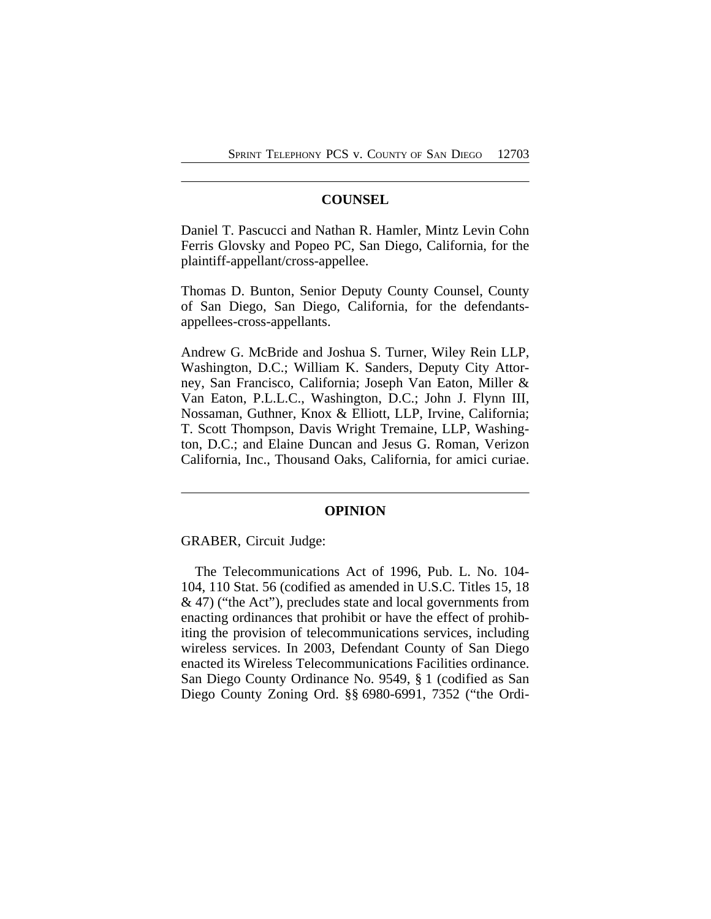#### **COUNSEL**

Daniel T. Pascucci and Nathan R. Hamler, Mintz Levin Cohn Ferris Glovsky and Popeo PC, San Diego, California, for the plaintiff-appellant/cross-appellee.

Thomas D. Bunton, Senior Deputy County Counsel, County of San Diego, San Diego, California, for the defendantsappellees-cross-appellants.

Andrew G. McBride and Joshua S. Turner, Wiley Rein LLP, Washington, D.C.; William K. Sanders, Deputy City Attorney, San Francisco, California; Joseph Van Eaton, Miller & Van Eaton, P.L.L.C., Washington, D.C.; John J. Flynn III, Nossaman, Guthner, Knox & Elliott, LLP, Irvine, California; T. Scott Thompson, Davis Wright Tremaine, LLP, Washington, D.C.; and Elaine Duncan and Jesus G. Roman, Verizon California, Inc., Thousand Oaks, California, for amici curiae.

#### **OPINION**

GRABER, Circuit Judge:

The Telecommunications Act of 1996, Pub. L. No. 104- 104, 110 Stat. 56 (codified as amended in U.S.C. Titles 15, 18 & 47) ("the Act"), precludes state and local governments from enacting ordinances that prohibit or have the effect of prohibiting the provision of telecommunications services, including wireless services. In 2003, Defendant County of San Diego enacted its Wireless Telecommunications Facilities ordinance. San Diego County Ordinance No. 9549, § 1 (codified as San Diego County Zoning Ord. §§ 6980-6991, 7352 ("the Ordi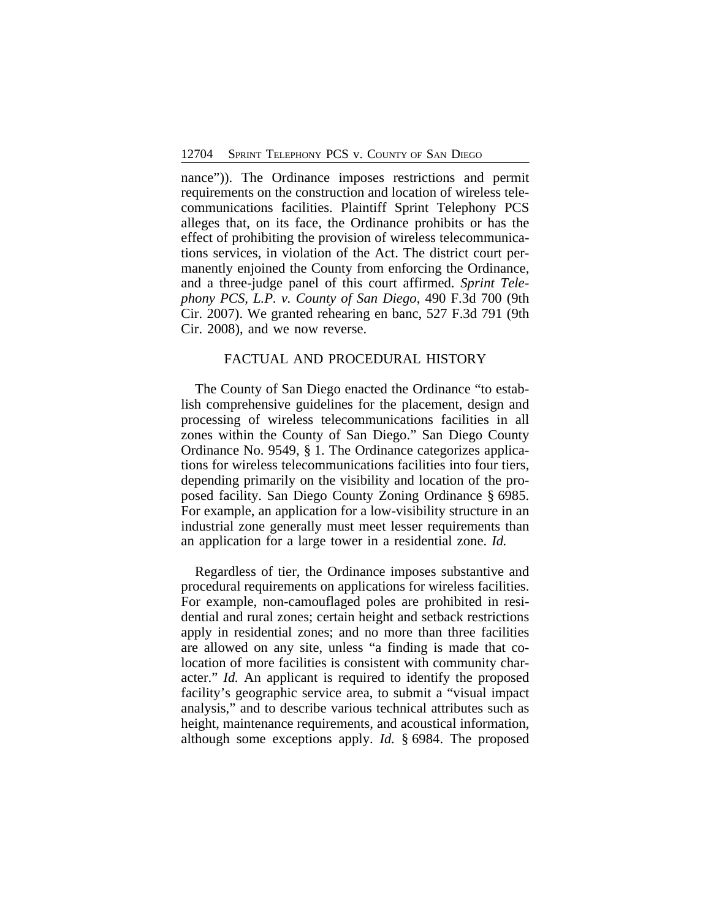nance")). The Ordinance imposes restrictions and permit requirements on the construction and location of wireless telecommunications facilities. Plaintiff Sprint Telephony PCS alleges that, on its face, the Ordinance prohibits or has the effect of prohibiting the provision of wireless telecommunications services, in violation of the Act. The district court permanently enjoined the County from enforcing the Ordinance, and a three-judge panel of this court affirmed. *Sprint Telephony PCS, L.P. v. County of San Diego*, 490 F.3d 700 (9th Cir. 2007). We granted rehearing en banc, 527 F.3d 791 (9th Cir. 2008), and we now reverse.

### FACTUAL AND PROCEDURAL HISTORY

The County of San Diego enacted the Ordinance "to establish comprehensive guidelines for the placement, design and processing of wireless telecommunications facilities in all zones within the County of San Diego." San Diego County Ordinance No. 9549, § 1. The Ordinance categorizes applications for wireless telecommunications facilities into four tiers, depending primarily on the visibility and location of the proposed facility. San Diego County Zoning Ordinance § 6985. For example, an application for a low-visibility structure in an industrial zone generally must meet lesser requirements than an application for a large tower in a residential zone. *Id.*

Regardless of tier, the Ordinance imposes substantive and procedural requirements on applications for wireless facilities. For example, non-camouflaged poles are prohibited in residential and rural zones; certain height and setback restrictions apply in residential zones; and no more than three facilities are allowed on any site, unless "a finding is made that colocation of more facilities is consistent with community character." *Id.* An applicant is required to identify the proposed facility's geographic service area, to submit a "visual impact analysis," and to describe various technical attributes such as height, maintenance requirements, and acoustical information, although some exceptions apply. *Id.* § 6984. The proposed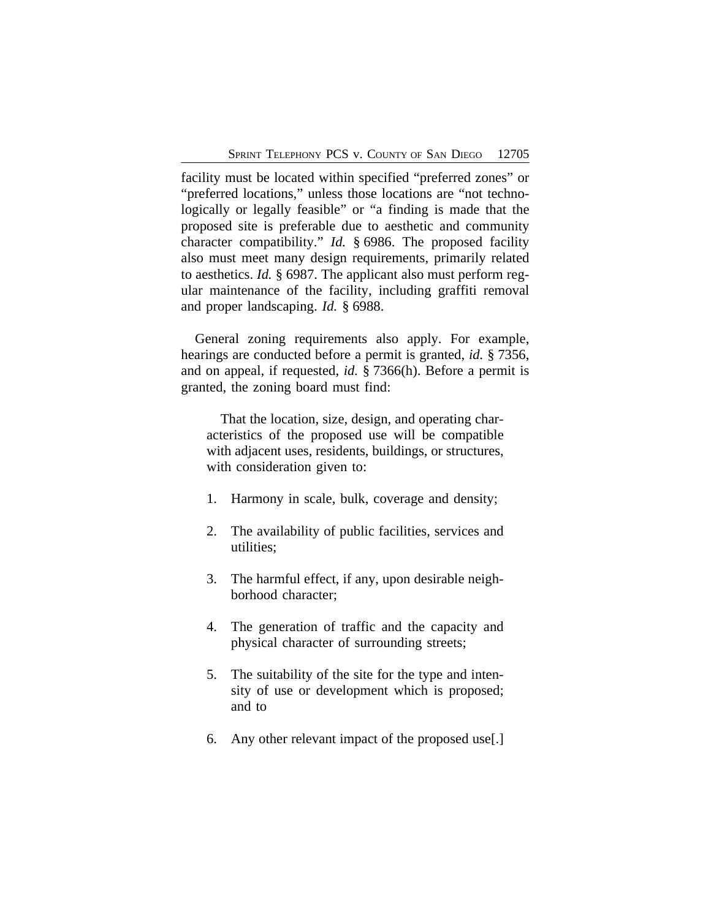facility must be located within specified "preferred zones" or "preferred locations," unless those locations are "not technologically or legally feasible" or "a finding is made that the proposed site is preferable due to aesthetic and community character compatibility." *Id.* § 6986. The proposed facility also must meet many design requirements, primarily related to aesthetics. *Id.* § 6987. The applicant also must perform regular maintenance of the facility, including graffiti removal and proper landscaping. *Id.* § 6988.

General zoning requirements also apply. For example, hearings are conducted before a permit is granted, *id.* § 7356, and on appeal, if requested, *id.* § 7366(h). Before a permit is granted, the zoning board must find:

That the location, size, design, and operating characteristics of the proposed use will be compatible with adjacent uses, residents, buildings, or structures, with consideration given to:

- 1. Harmony in scale, bulk, coverage and density;
- 2. The availability of public facilities, services and utilities;
- 3. The harmful effect, if any, upon desirable neighborhood character;
- 4. The generation of traffic and the capacity and physical character of surrounding streets;
- 5. The suitability of the site for the type and intensity of use or development which is proposed; and to
- 6. Any other relevant impact of the proposed use[.]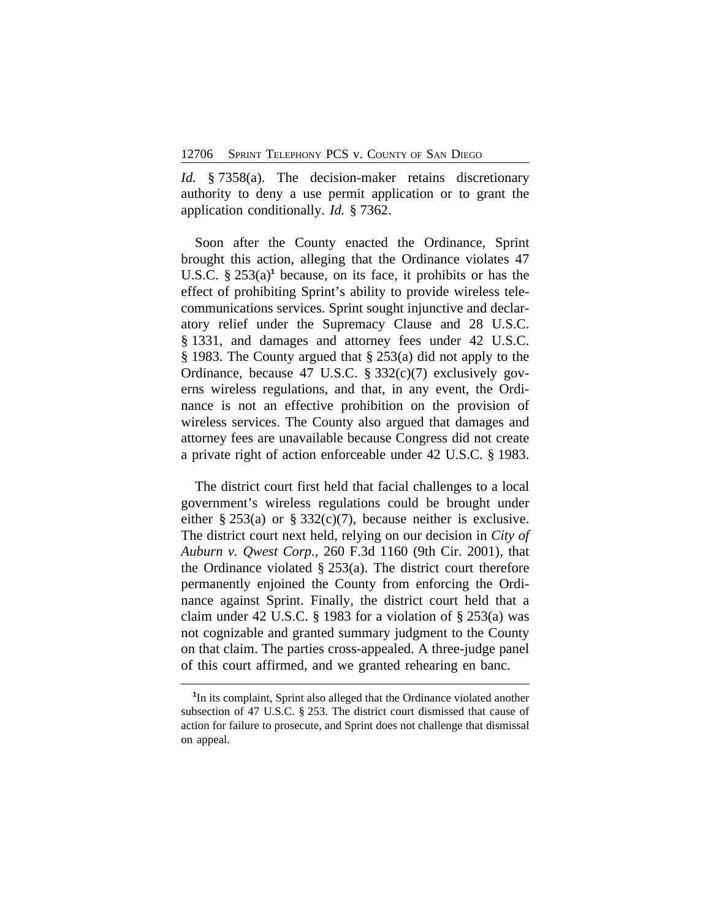*Id.* § 7358(a). The decision-maker retains discretionary authority to deny a use permit application or to grant the application conditionally. *Id.* § 7362.

Soon after the County enacted the Ordinance, Sprint brought this action, alleging that the Ordinance violates 47 U.S.C. § 253(a)**<sup>1</sup>** because, on its face, it prohibits or has the effect of prohibiting Sprint's ability to provide wireless telecommunications services. Sprint sought injunctive and declaratory relief under the Supremacy Clause and 28 U.S.C. § 1331, and damages and attorney fees under 42 U.S.C. § 1983. The County argued that § 253(a) did not apply to the Ordinance, because 47 U.S.C. § 332(c)(7) exclusively governs wireless regulations, and that, in any event, the Ordinance is not an effective prohibition on the provision of wireless services. The County also argued that damages and attorney fees are unavailable because Congress did not create a private right of action enforceable under 42 U.S.C. § 1983.

The district court first held that facial challenges to a local government's wireless regulations could be brought under either § 253(a) or § 332(c)(7), because neither is exclusive. The district court next held, relying on our decision in *City of Auburn v. Qwest Corp.*, 260 F.3d 1160 (9th Cir. 2001), that the Ordinance violated  $\S 253(a)$ . The district court therefore permanently enjoined the County from enforcing the Ordinance against Sprint. Finally, the district court held that a claim under 42 U.S.C. § 1983 for a violation of § 253(a) was not cognizable and granted summary judgment to the County on that claim. The parties cross-appealed. A three-judge panel of this court affirmed, and we granted rehearing en banc.

<sup>&</sup>lt;sup>1</sup>In its complaint, Sprint also alleged that the Ordinance violated another subsection of 47 U.S.C. § 253. The district court dismissed that cause of action for failure to prosecute, and Sprint does not challenge that dismissal on appeal.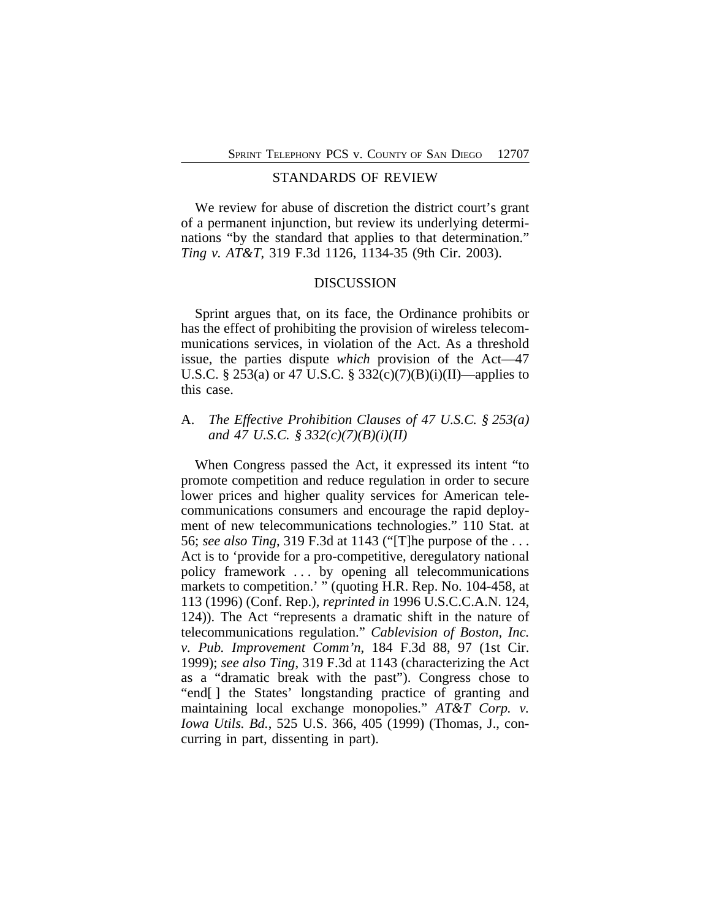#### STANDARDS OF REVIEW

We review for abuse of discretion the district court's grant of a permanent injunction, but review its underlying determinations "by the standard that applies to that determination." *Ting v. AT&T*, 319 F.3d 1126, 1134-35 (9th Cir. 2003).

#### DISCUSSION

Sprint argues that, on its face, the Ordinance prohibits or has the effect of prohibiting the provision of wireless telecommunications services, in violation of the Act. As a threshold issue, the parties dispute *which* provision of the Act—47 U.S.C. § 253(a) or 47 U.S.C. § 332(c)(7)(B)(i)(II)—applies to this case.

## A. *The Effective Prohibition Clauses of 47 U.S.C. § 253(a) and 47 U.S.C. § 332(c)(7)(B)(i)(II)*

When Congress passed the Act, it expressed its intent "to promote competition and reduce regulation in order to secure lower prices and higher quality services for American telecommunications consumers and encourage the rapid deployment of new telecommunications technologies." 110 Stat. at 56; *see also Ting*, 319 F.3d at 1143 ("[T]he purpose of the . . . Act is to 'provide for a pro-competitive, deregulatory national policy framework . . . by opening all telecommunications markets to competition.' " (quoting H.R. Rep. No. 104-458, at 113 (1996) (Conf. Rep.), *reprinted in* 1996 U.S.C.C.A.N. 124, 124)). The Act "represents a dramatic shift in the nature of telecommunications regulation." *Cablevision of Boston, Inc. v. Pub. Improvement Comm'n*, 184 F.3d 88, 97 (1st Cir. 1999); *see also Ting*, 319 F.3d at 1143 (characterizing the Act as a "dramatic break with the past"). Congress chose to "end[ ] the States' longstanding practice of granting and maintaining local exchange monopolies." *AT&T Corp. v. Iowa Utils. Bd.*, 525 U.S. 366, 405 (1999) (Thomas, J., concurring in part, dissenting in part).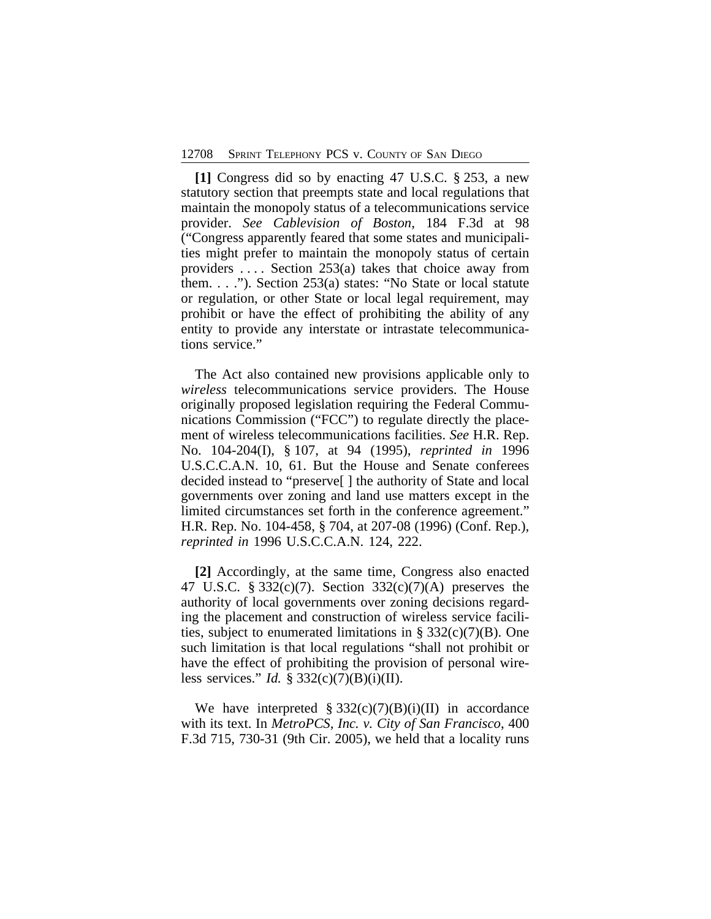**[1]** Congress did so by enacting 47 U.S.C. § 253, a new statutory section that preempts state and local regulations that maintain the monopoly status of a telecommunications service provider. *See Cablevision of Boston*, 184 F.3d at 98 ("Congress apparently feared that some states and municipalities might prefer to maintain the monopoly status of certain providers . . . . Section 253(a) takes that choice away from them. . . ."). Section 253(a) states: "No State or local statute or regulation, or other State or local legal requirement, may prohibit or have the effect of prohibiting the ability of any entity to provide any interstate or intrastate telecommunications service."

The Act also contained new provisions applicable only to *wireless* telecommunications service providers. The House originally proposed legislation requiring the Federal Communications Commission ("FCC") to regulate directly the placement of wireless telecommunications facilities. *See* H.R. Rep. No. 104-204(I), § 107, at 94 (1995), *reprinted in* 1996 U.S.C.C.A.N. 10, 61. But the House and Senate conferees decided instead to "preserve[ ] the authority of State and local governments over zoning and land use matters except in the limited circumstances set forth in the conference agreement." H.R. Rep. No. 104-458, § 704, at 207-08 (1996) (Conf. Rep.), *reprinted in* 1996 U.S.C.C.A.N. 124, 222.

**[2]** Accordingly, at the same time, Congress also enacted 47 U.S.C. § 332(c)(7). Section 332(c)(7)(A) preserves the authority of local governments over zoning decisions regarding the placement and construction of wireless service facilities, subject to enumerated limitations in  $\S 332(c)(7)(B)$ . One such limitation is that local regulations "shall not prohibit or have the effect of prohibiting the provision of personal wireless services." *Id.* § 332(c)(7)(B)(i)(II).

We have interpreted  $\S 332(c)(7)(B)(i)(II)$  in accordance with its text. In *MetroPCS, Inc. v. City of San Francisco*, 400 F.3d 715, 730-31 (9th Cir. 2005), we held that a locality runs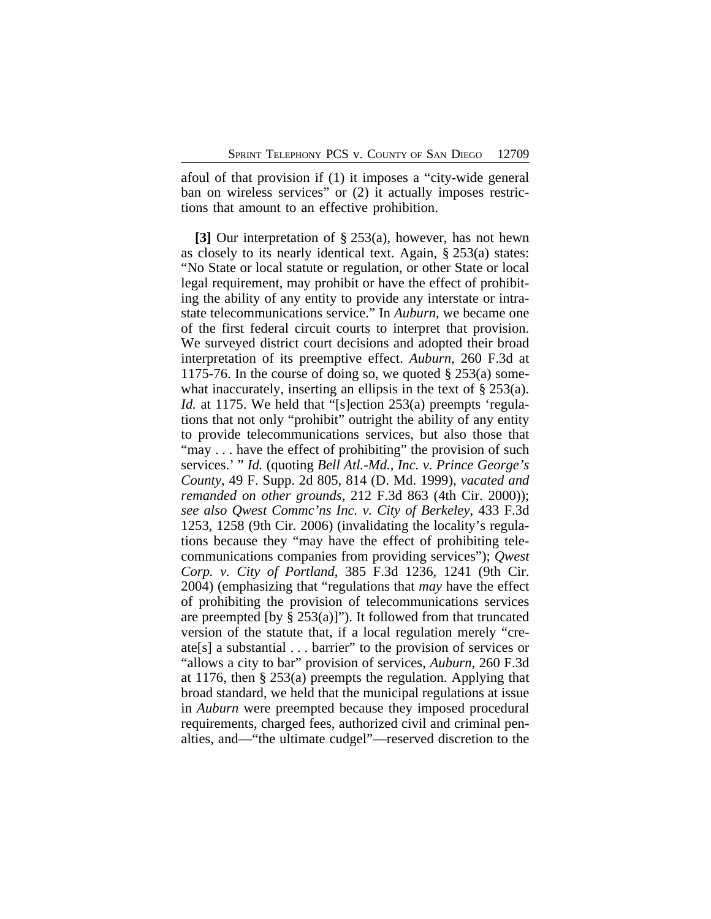afoul of that provision if (1) it imposes a "city-wide general ban on wireless services" or  $(2)$  it actually imposes restrictions that amount to an effective prohibition.

**[3]** Our interpretation of § 253(a), however, has not hewn as closely to its nearly identical text. Again, § 253(a) states: "No State or local statute or regulation, or other State or local legal requirement, may prohibit or have the effect of prohibiting the ability of any entity to provide any interstate or intrastate telecommunications service." In *Auburn*, we became one of the first federal circuit courts to interpret that provision. We surveyed district court decisions and adopted their broad interpretation of its preemptive effect. *Auburn*, 260 F.3d at 1175-76. In the course of doing so, we quoted  $\S 253(a)$  somewhat inaccurately, inserting an ellipsis in the text of § 253(a). *Id.* at 1175. We held that "[s]ection 253(a) preempts 'regulations that not only "prohibit" outright the ability of any entity to provide telecommunications services, but also those that "may . . . have the effect of prohibiting" the provision of such services.' " *Id.* (quoting *Bell Atl.-Md., Inc. v. Prince George's County*, 49 F. Supp. 2d 805, 814 (D. Md. 1999), *vacated and remanded on other grounds*, 212 F.3d 863 (4th Cir. 2000)); *see also Qwest Commc'ns Inc. v. City of Berkeley*, 433 F.3d 1253, 1258 (9th Cir. 2006) (invalidating the locality's regulations because they "may have the effect of prohibiting telecommunications companies from providing services"); *Qwest Corp. v. City of Portland*, 385 F.3d 1236, 1241 (9th Cir. 2004) (emphasizing that "regulations that *may* have the effect of prohibiting the provision of telecommunications services are preempted [by  $\S 253(a)$ ]"). It followed from that truncated version of the statute that, if a local regulation merely "create[s] a substantial . . . barrier" to the provision of services or "allows a city to bar" provision of services, *Auburn*, 260 F.3d at 1176, then § 253(a) preempts the regulation. Applying that broad standard, we held that the municipal regulations at issue in *Auburn* were preempted because they imposed procedural requirements, charged fees, authorized civil and criminal penalties, and—"the ultimate cudgel"—reserved discretion to the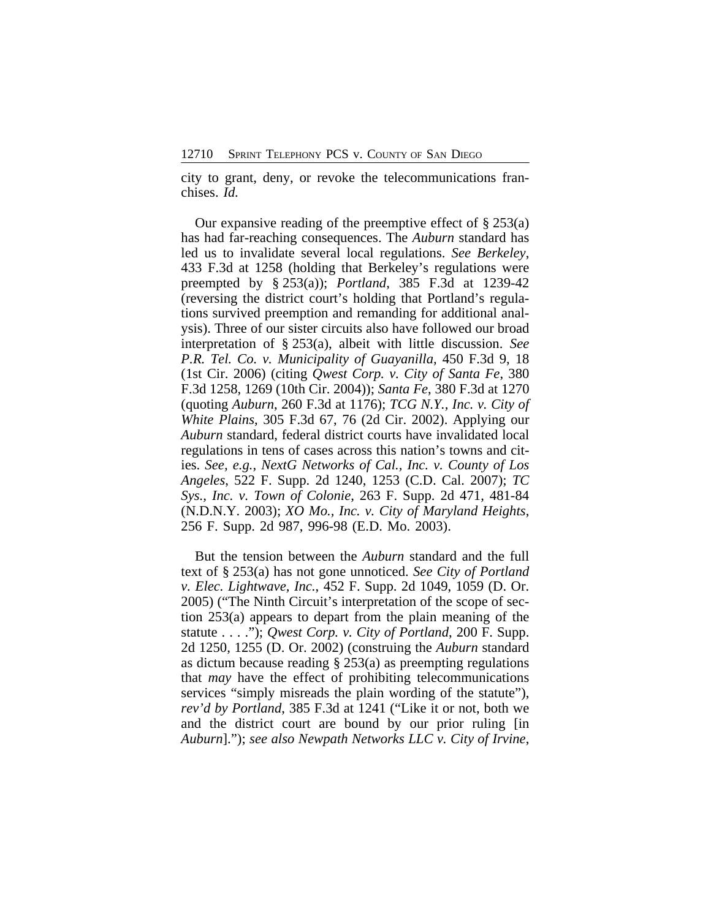city to grant, deny, or revoke the telecommunications franchises. *Id.*

Our expansive reading of the preemptive effect of  $\S 253(a)$ has had far-reaching consequences. The *Auburn* standard has led us to invalidate several local regulations. *See Berkeley*, 433 F.3d at 1258 (holding that Berkeley's regulations were preempted by § 253(a)); *Portland*, 385 F.3d at 1239-42 (reversing the district court's holding that Portland's regulations survived preemption and remanding for additional analysis). Three of our sister circuits also have followed our broad interpretation of § 253(a), albeit with little discussion. *See P.R. Tel. Co. v. Municipality of Guayanilla*, 450 F.3d 9, 18 (1st Cir. 2006) (citing *Qwest Corp. v. City of Santa Fe*, 380 F.3d 1258, 1269 (10th Cir. 2004)); *Santa Fe*, 380 F.3d at 1270 (quoting *Auburn*, 260 F.3d at 1176); *TCG N.Y., Inc. v. City of White Plains*, 305 F.3d 67, 76 (2d Cir. 2002). Applying our *Auburn* standard, federal district courts have invalidated local regulations in tens of cases across this nation's towns and cities. *See, e.g.*, *NextG Networks of Cal., Inc. v. County of Los Angeles*, 522 F. Supp. 2d 1240, 1253 (C.D. Cal. 2007); *TC Sys., Inc. v. Town of Colonie*, 263 F. Supp. 2d 471, 481-84 (N.D.N.Y. 2003); *XO Mo., Inc. v. City of Maryland Heights*, 256 F. Supp. 2d 987, 996-98 (E.D. Mo. 2003).

But the tension between the *Auburn* standard and the full text of § 253(a) has not gone unnoticed. *See City of Portland v. Elec. Lightwave, Inc.*, 452 F. Supp. 2d 1049, 1059 (D. Or. 2005) ("The Ninth Circuit's interpretation of the scope of section 253(a) appears to depart from the plain meaning of the statute . . . ."); *Qwest Corp. v. City of Portland*, 200 F. Supp. 2d 1250, 1255 (D. Or. 2002) (construing the *Auburn* standard as dictum because reading § 253(a) as preempting regulations that *may* have the effect of prohibiting telecommunications services "simply misreads the plain wording of the statute"), *rev'd by Portland*, 385 F.3d at 1241 ("Like it or not, both we and the district court are bound by our prior ruling [in *Auburn*]."); *see also Newpath Networks LLC v. City of Irvine*,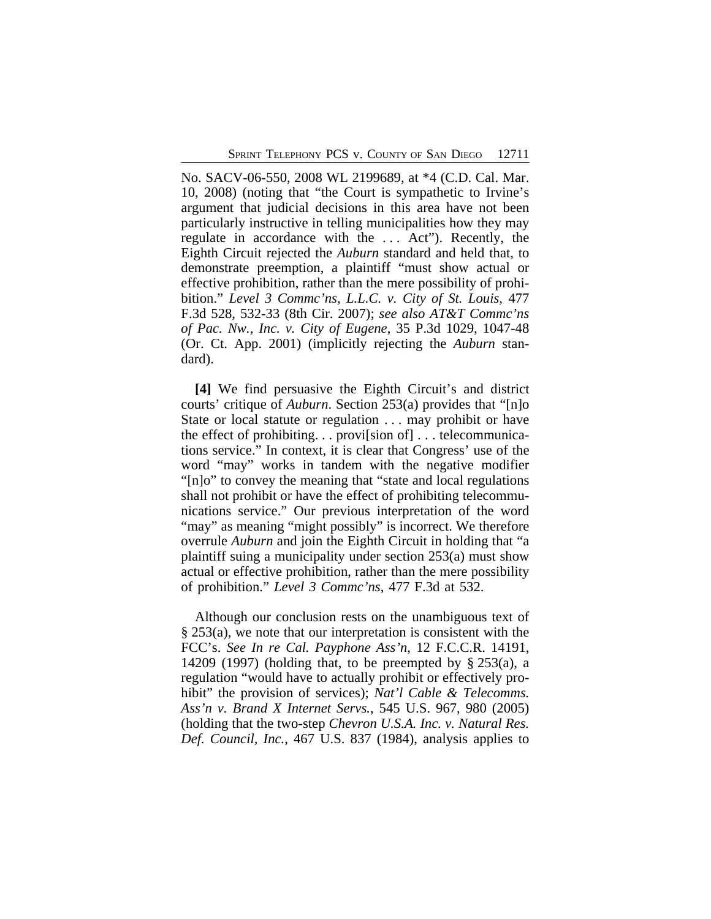No. SACV-06-550, 2008 WL 2199689, at \*4 (C.D. Cal. Mar. 10, 2008) (noting that "the Court is sympathetic to Irvine's argument that judicial decisions in this area have not been particularly instructive in telling municipalities how they may regulate in accordance with the . . . Act"). Recently, the Eighth Circuit rejected the *Auburn* standard and held that, to demonstrate preemption, a plaintiff "must show actual or effective prohibition, rather than the mere possibility of prohibition." *Level 3 Commc'ns, L.L.C. v. City of St. Louis*, 477 F.3d 528, 532-33 (8th Cir. 2007); *see also AT&T Commc'ns of Pac. Nw., Inc. v. City of Eugene*, 35 P.3d 1029, 1047-48 (Or. Ct. App. 2001) (implicitly rejecting the *Auburn* standard).

**[4]** We find persuasive the Eighth Circuit's and district courts' critique of *Auburn*. Section 253(a) provides that "[n]o State or local statute or regulation . . . may prohibit or have the effect of prohibiting. . . provi[sion of] . . . telecommunications service." In context, it is clear that Congress' use of the word "may" works in tandem with the negative modifier "[n]o" to convey the meaning that "state and local regulations shall not prohibit or have the effect of prohibiting telecommunications service." Our previous interpretation of the word "may" as meaning "might possibly" is incorrect. We therefore overrule *Auburn* and join the Eighth Circuit in holding that "a plaintiff suing a municipality under section 253(a) must show actual or effective prohibition, rather than the mere possibility of prohibition." *Level 3 Commc'ns*, 477 F.3d at 532.

Although our conclusion rests on the unambiguous text of § 253(a), we note that our interpretation is consistent with the FCC's. *See In re Cal. Payphone Ass'n*, 12 F.C.C.R. 14191, 14209 (1997) (holding that, to be preempted by  $\S 253(a)$ , a regulation "would have to actually prohibit or effectively prohibit" the provision of services); *Nat'l Cable & Telecomms. Ass'n v. Brand X Internet Servs.*, 545 U.S. 967, 980 (2005) (holding that the two-step *Chevron U.S.A. Inc. v. Natural Res. Def. Council, Inc.*, 467 U.S. 837 (1984), analysis applies to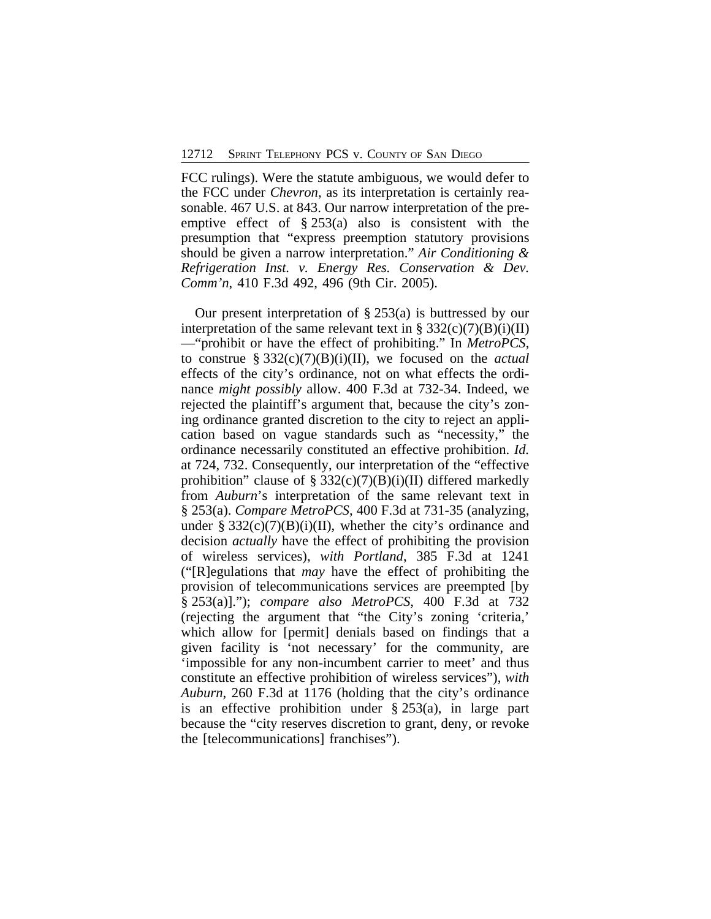FCC rulings). Were the statute ambiguous, we would defer to the FCC under *Chevron*, as its interpretation is certainly reasonable. 467 U.S. at 843. Our narrow interpretation of the preemptive effect of  $\S 253(a)$  also is consistent with the presumption that "express preemption statutory provisions should be given a narrow interpretation." *Air Conditioning & Refrigeration Inst. v. Energy Res. Conservation & Dev. Comm'n*, 410 F.3d 492, 496 (9th Cir. 2005).

Our present interpretation of § 253(a) is buttressed by our interpretation of the same relevant text in § 332(c)(7)(B)(i)(II) —"prohibit or have the effect of prohibiting." In *MetroPCS*, to construe § 332(c)(7)(B)(i)(II), we focused on the *actual* effects of the city's ordinance, not on what effects the ordinance *might possibly* allow. 400 F.3d at 732-34. Indeed, we rejected the plaintiff's argument that, because the city's zoning ordinance granted discretion to the city to reject an application based on vague standards such as "necessity," the ordinance necessarily constituted an effective prohibition. *Id.* at 724, 732. Consequently, our interpretation of the "effective prohibition" clause of  $\S 332(c)(7)(B)(i)(II)$  differed markedly from *Auburn*'s interpretation of the same relevant text in § 253(a). *Compare MetroPCS*, 400 F.3d at 731-35 (analyzing, under §  $332(c)(7)(B)(i)(II)$ , whether the city's ordinance and decision *actually* have the effect of prohibiting the provision of wireless services), *with Portland*, 385 F.3d at 1241 ("[R]egulations that *may* have the effect of prohibiting the provision of telecommunications services are preempted [by § 253(a)]."); *compare also MetroPCS*, 400 F.3d at 732 (rejecting the argument that "the City's zoning 'criteria,' which allow for [permit] denials based on findings that a given facility is 'not necessary' for the community, are 'impossible for any non-incumbent carrier to meet' and thus constitute an effective prohibition of wireless services"), *with Auburn*, 260 F.3d at 1176 (holding that the city's ordinance is an effective prohibition under § 253(a), in large part because the "city reserves discretion to grant, deny, or revoke the [telecommunications] franchises").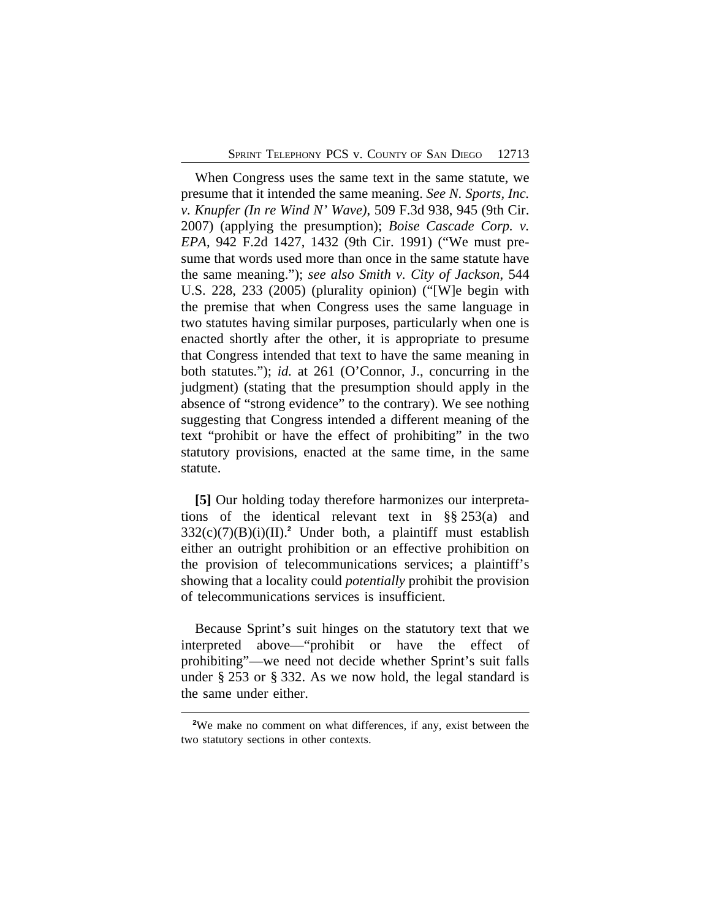When Congress uses the same text in the same statute, we presume that it intended the same meaning. *See N. Sports, Inc. v. Knupfer (In re Wind N' Wave)*, 509 F.3d 938, 945 (9th Cir. 2007) (applying the presumption); *Boise Cascade Corp. v. EPA*, 942 F.2d 1427, 1432 (9th Cir. 1991) ("We must presume that words used more than once in the same statute have the same meaning."); *see also Smith v. City of Jackson*, 544 U.S. 228, 233 (2005) (plurality opinion) ("[W]e begin with the premise that when Congress uses the same language in two statutes having similar purposes, particularly when one is enacted shortly after the other, it is appropriate to presume that Congress intended that text to have the same meaning in both statutes."); *id.* at 261 (O'Connor, J., concurring in the judgment) (stating that the presumption should apply in the absence of "strong evidence" to the contrary). We see nothing suggesting that Congress intended a different meaning of the text "prohibit or have the effect of prohibiting" in the two statutory provisions, enacted at the same time, in the same statute.

**[5]** Our holding today therefore harmonizes our interpretations of the identical relevant text in §§ 253(a) and 332(c)(7)(B)(i)(II).**<sup>2</sup>** Under both, a plaintiff must establish either an outright prohibition or an effective prohibition on the provision of telecommunications services; a plaintiff's showing that a locality could *potentially* prohibit the provision of telecommunications services is insufficient.

Because Sprint's suit hinges on the statutory text that we interpreted above—"prohibit or have the effect of prohibiting"—we need not decide whether Sprint's suit falls under § 253 or § 332. As we now hold, the legal standard is the same under either.

**<sup>2</sup>**We make no comment on what differences, if any, exist between the two statutory sections in other contexts.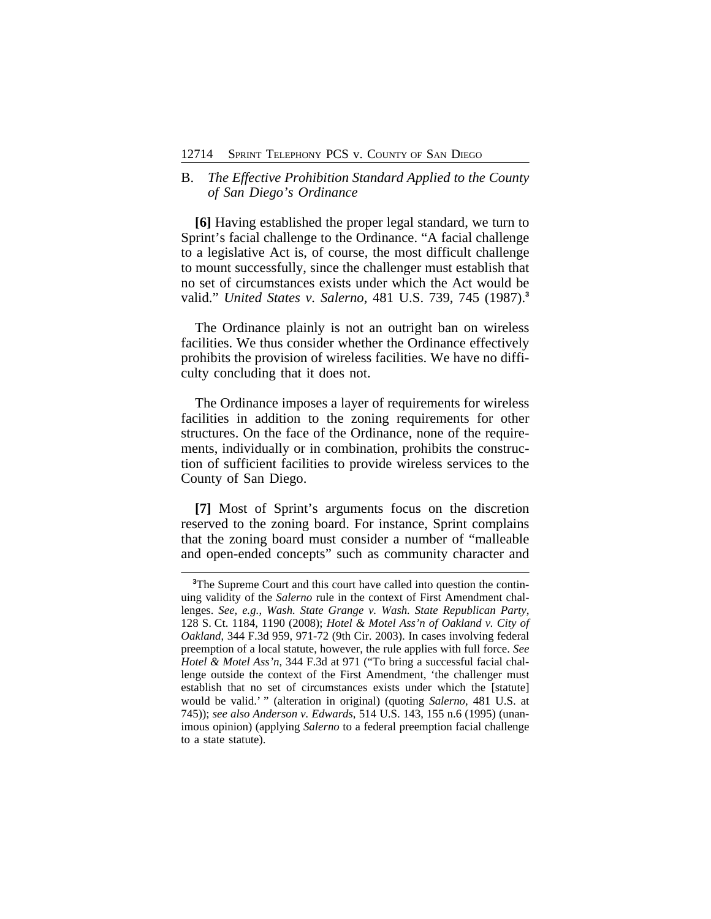### B. *The Effective Prohibition Standard Applied to the County of San Diego's Ordinance*

**[6]** Having established the proper legal standard, we turn to Sprint's facial challenge to the Ordinance. "A facial challenge to a legislative Act is, of course, the most difficult challenge to mount successfully, since the challenger must establish that no set of circumstances exists under which the Act would be valid." *United States v. Salerno*, 481 U.S. 739, 745 (1987).**<sup>3</sup>**

The Ordinance plainly is not an outright ban on wireless facilities. We thus consider whether the Ordinance effectively prohibits the provision of wireless facilities. We have no difficulty concluding that it does not.

The Ordinance imposes a layer of requirements for wireless facilities in addition to the zoning requirements for other structures. On the face of the Ordinance, none of the requirements, individually or in combination, prohibits the construction of sufficient facilities to provide wireless services to the County of San Diego.

**[7]** Most of Sprint's arguments focus on the discretion reserved to the zoning board. For instance, Sprint complains that the zoning board must consider a number of "malleable and open-ended concepts" such as community character and

<sup>&</sup>lt;sup>3</sup>The Supreme Court and this court have called into question the continuing validity of the *Salerno* rule in the context of First Amendment challenges. *See, e.g.*, *Wash. State Grange v. Wash. State Republican Party*, 128 S. Ct. 1184, 1190 (2008); *Hotel & Motel Ass'n of Oakland v. City of Oakland*, 344 F.3d 959, 971-72 (9th Cir. 2003). In cases involving federal preemption of a local statute, however, the rule applies with full force. *See Hotel & Motel Ass'n*, 344 F.3d at 971 ("To bring a successful facial challenge outside the context of the First Amendment, 'the challenger must establish that no set of circumstances exists under which the [statute] would be valid.' " (alteration in original) (quoting *Salerno*, 481 U.S. at 745)); *see also Anderson v. Edwards*, 514 U.S. 143, 155 n.6 (1995) (unanimous opinion) (applying *Salerno* to a federal preemption facial challenge to a state statute).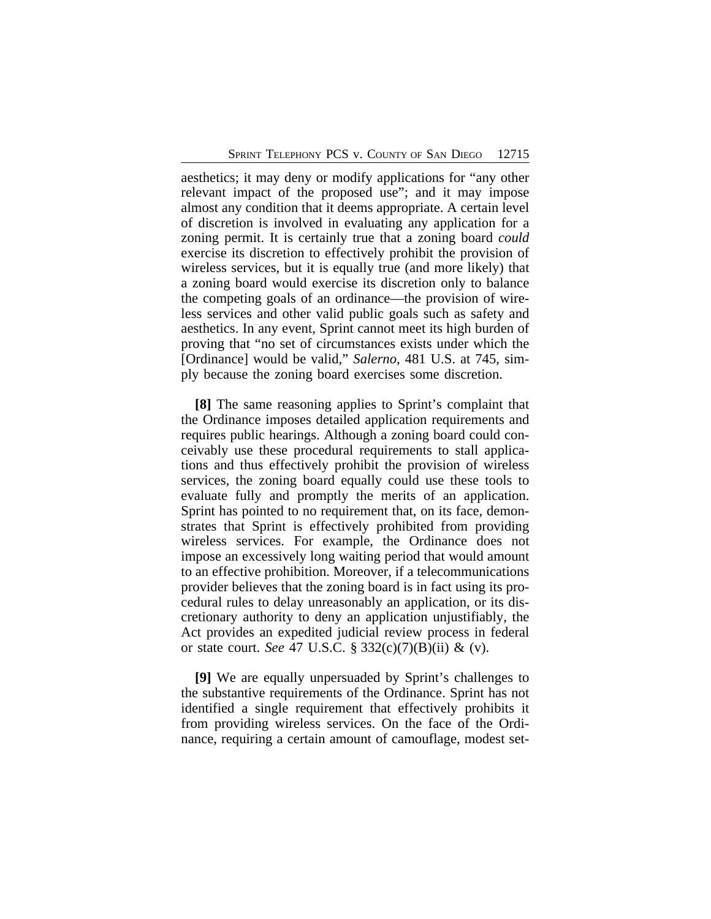aesthetics; it may deny or modify applications for "any other relevant impact of the proposed use"; and it may impose almost any condition that it deems appropriate. A certain level of discretion is involved in evaluating any application for a zoning permit. It is certainly true that a zoning board *could* exercise its discretion to effectively prohibit the provision of wireless services, but it is equally true (and more likely) that a zoning board would exercise its discretion only to balance the competing goals of an ordinance—the provision of wireless services and other valid public goals such as safety and aesthetics. In any event, Sprint cannot meet its high burden of proving that "no set of circumstances exists under which the [Ordinance] would be valid," *Salerno*, 481 U.S. at 745, simply because the zoning board exercises some discretion.

**[8]** The same reasoning applies to Sprint's complaint that the Ordinance imposes detailed application requirements and requires public hearings. Although a zoning board could conceivably use these procedural requirements to stall applications and thus effectively prohibit the provision of wireless services, the zoning board equally could use these tools to evaluate fully and promptly the merits of an application. Sprint has pointed to no requirement that, on its face, demonstrates that Sprint is effectively prohibited from providing wireless services. For example, the Ordinance does not impose an excessively long waiting period that would amount to an effective prohibition. Moreover, if a telecommunications provider believes that the zoning board is in fact using its procedural rules to delay unreasonably an application, or its discretionary authority to deny an application unjustifiably, the Act provides an expedited judicial review process in federal or state court. *See* 47 U.S.C. § 332(c)(7)(B)(ii) & (v).

**[9]** We are equally unpersuaded by Sprint's challenges to the substantive requirements of the Ordinance. Sprint has not identified a single requirement that effectively prohibits it from providing wireless services. On the face of the Ordinance, requiring a certain amount of camouflage, modest set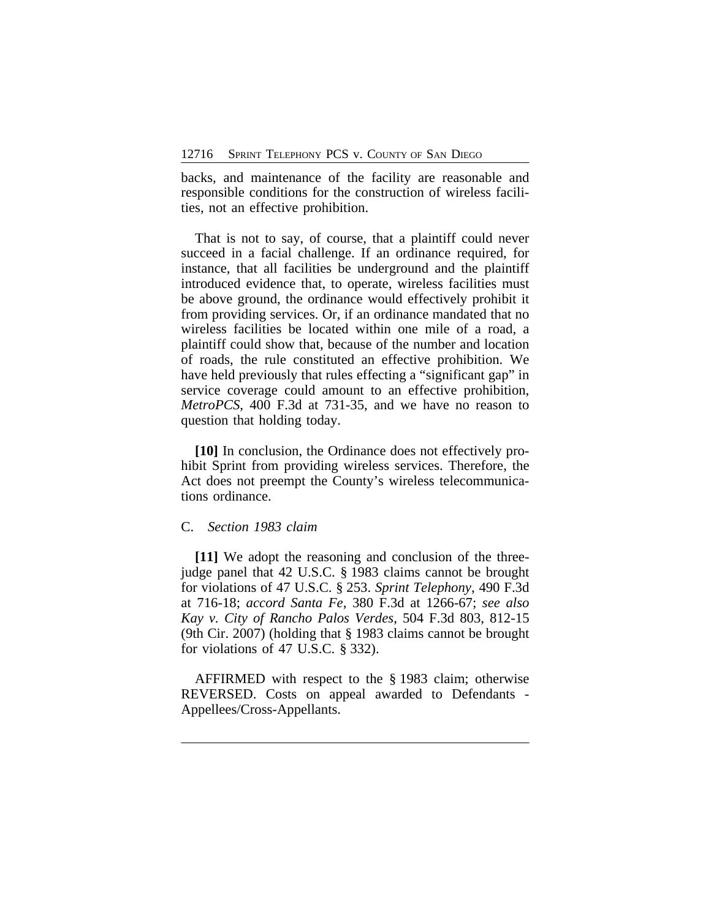backs, and maintenance of the facility are reasonable and responsible conditions for the construction of wireless facilities, not an effective prohibition.

That is not to say, of course, that a plaintiff could never succeed in a facial challenge. If an ordinance required, for instance, that all facilities be underground and the plaintiff introduced evidence that, to operate, wireless facilities must be above ground, the ordinance would effectively prohibit it from providing services. Or, if an ordinance mandated that no wireless facilities be located within one mile of a road, a plaintiff could show that, because of the number and location of roads, the rule constituted an effective prohibition. We have held previously that rules effecting a "significant gap" in service coverage could amount to an effective prohibition, *MetroPCS*, 400 F.3d at 731-35, and we have no reason to question that holding today.

**[10]** In conclusion, the Ordinance does not effectively prohibit Sprint from providing wireless services. Therefore, the Act does not preempt the County's wireless telecommunications ordinance.

#### C. *Section 1983 claim*

**[11]** We adopt the reasoning and conclusion of the threejudge panel that 42 U.S.C. § 1983 claims cannot be brought for violations of 47 U.S.C. § 253. *Sprint Telephony*, 490 F.3d at 716-18; *accord Santa Fe*, 380 F.3d at 1266-67; *see also Kay v. City of Rancho Palos Verdes*, 504 F.3d 803, 812-15 (9th Cir. 2007) (holding that § 1983 claims cannot be brought for violations of 47 U.S.C. § 332).

AFFIRMED with respect to the § 1983 claim; otherwise REVERSED. Costs on appeal awarded to Defendants - Appellees/Cross-Appellants.